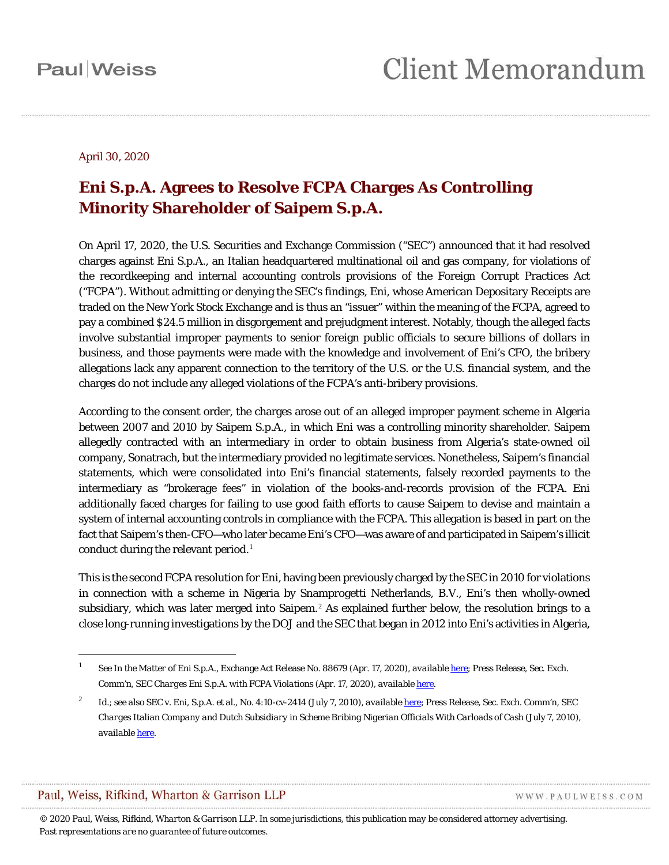#### April 30, 2020

#### **Eni S.p.A. Agrees to Resolve FCPA Charges As Controlling Minority Shareholder of Saipem S.p.A.**

On April 17, 2020, the U.S. Securities and Exchange Commission ("SEC") announced that it had resolved charges against Eni S.p.A., an Italian headquartered multinational oil and gas company, for violations of the recordkeeping and internal accounting controls provisions of the Foreign Corrupt Practices Act ("FCPA"). Without admitting or denying the SEC's findings, Eni, whose American Depositary Receipts are traded on the New York Stock Exchange and is thus an "issuer" within the meaning of the FCPA, agreed to pay a combined \$24.5 million in disgorgement and prejudgment interest. Notably, though the alleged facts involve substantial improper payments to senior foreign public officials to secure billions of dollars in business, and those payments were made with the knowledge and involvement of Eni's CFO, the bribery allegations lack any apparent connection to the territory of the U.S. or the U.S. financial system, and the charges do not include any alleged violations of the FCPA's anti-bribery provisions.

According to the consent order, the charges arose out of an alleged improper payment scheme in Algeria between 2007 and 2010 by Saipem S.p.A., in which Eni was a controlling minority shareholder. Saipem allegedly contracted with an intermediary in order to obtain business from Algeria's state-owned oil company, Sonatrach, but the intermediary provided no legitimate services. Nonetheless, Saipem's financial statements, which were consolidated into Eni's financial statements, falsely recorded payments to the intermediary as "brokerage fees" in violation of the books-and-records provision of the FCPA. Eni additionally faced charges for failing to use good faith efforts to cause Saipem to devise and maintain a system of internal accounting controls in compliance with the FCPA. This allegation is based in part on the fact that Saipem's then-CFO—who later became Eni's CFO—was aware of and participated in Saipem's illicit conduct during the relevant period. [1](#page-0-0)

This is the second FCPA resolution for Eni, having been previously charged by the SEC in 2010 for violations in connection with a scheme in Nigeria by Snamprogetti Netherlands, B.V., Eni's then wholly-owned subsidiary, which was later merged into Saipem.<sup>[2](#page-0-1)</sup> As explained further below, the resolution brings to a close long-running investigations by the DOJ and the SEC that began in 2012 into Eni's activities in Algeria,

Paul, Weiss, Rifkind, Wharton & Garrison LLP

 $\overline{a}$ 

WWW.PAULWEISS.COM

<span id="page-0-0"></span><sup>1</sup> *See In the Matter of Eni S.p.A.*, Exchange Act Release No. 88679 (Apr. 17, 2020), *available* [here;](https://www.sec.gov/litigation/admin/2020/34-88679.pdf) Press Release, Sec. Exch. Comm'n, *SEC Charges Eni S.p.A. with FCPA Violations* (Apr. 17, 2020), *available* [here.](https://www.sec.gov/enforce/34-88679-s)

<span id="page-0-1"></span><sup>2</sup> *Id*.; *see also SEC* v. *Eni, S.p.A. et al.*, No. 4:10-cv-2414 (July 7, 2010), *available* [here;](https://www.sec.gov/litigation/complaints/2010/comp-pr2010-119.pdf) Press Release, Sec. Exch. Comm'n, *SEC Charges Italian Company and Dutch Subsidiary in Scheme Bribing Nigerian Officials With Carloads of Cash* (July 7, 2010), *available* [here.](https://www.sec.gov/news/press/2010/2010-119.htm)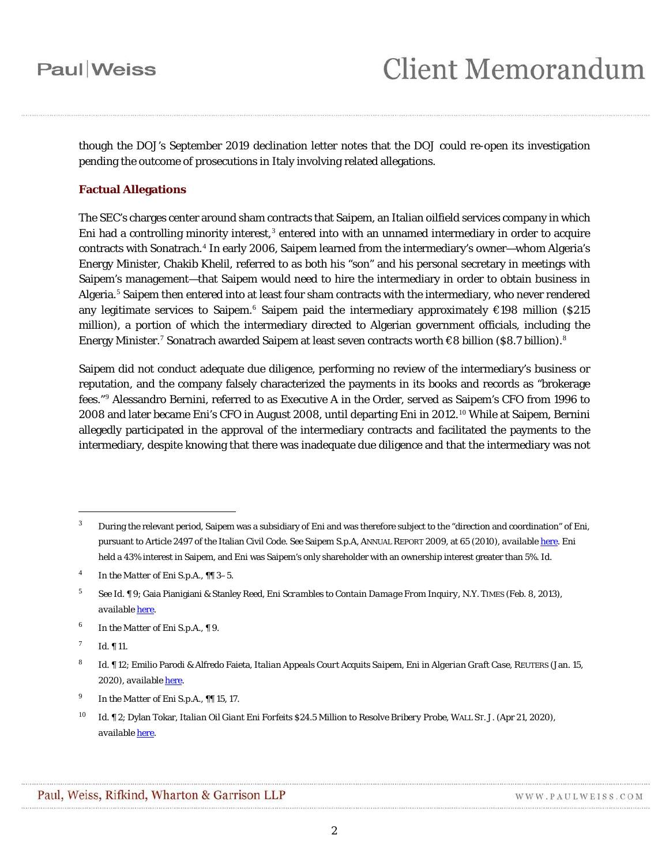though the DOJ's September 2019 declination letter notes that the DOJ could re-open its investigation pending the outcome of prosecutions in Italy involving related allegations.

#### **Factual Allegations**

The SEC's charges center around sham contracts that Saipem, an Italian oilfield services company in which Eni had a controlling minority interest, $3$  entered into with an unnamed intermediary in order to acquire contracts with Sonatrach. [4](#page-1-1) In early 2006, Saipem learned from the intermediary's owner—whom Algeria's Energy Minister, Chakib Khelil, referred to as both his "son" and his personal secretary in meetings with Saipem's management—that Saipem would need to hire the intermediary in order to obtain business in Algeria.<sup>[5](#page-1-2)</sup> Saipem then entered into at least four sham contracts with the intermediary, who never rendered any legitimate services to Saipem.<sup>[6](#page-1-3)</sup> Saipem paid the intermediary approximately €198 million (\$215 million), a portion of which the intermediary directed to Algerian government officials, including the Energy Minister.<sup>[7](#page-1-4)</sup> Sonatrach awarded Saipem at least seven contracts worth €[8](#page-1-5) billion (\$8.7 billion). $^8$ 

Saipem did not conduct adequate due diligence, performing no review of the intermediary's business or reputation, and the company falsely characterized the payments in its books and records as "brokerage fees."[9](#page-1-6) Alessandro Bernini, referred to as Executive A in the Order, served as Saipem's CFO from 1996 to 2008 and later became Eni's CFO in August 2008, until departing Eni in 2012. [10](#page-1-7) While at Saipem, Bernini allegedly participated in the approval of the intermediary contracts and facilitated the payments to the intermediary, despite knowing that there was inadequate due diligence and that the intermediary was not

<span id="page-1-0"></span><sup>&</sup>lt;sup>3</sup> During the relevant period, Saipem was a subsidiary of Eni and was therefore subject to the "direction and coordination" of Eni, pursuant to Article 2497 of the Italian Civil Code. *See* Saipem S.p.A, ANNUAL REPORT 2009, at 65 (2010), *available* [here.](https://www.saipem.com/sites/default/files/static/en/documents/1909BilSaipem09Ingfi.pdf) Eni held a 43% interest in Saipem, and Eni was Saipem's only shareholder with an ownership interest greater than 5%. *Id*.

<span id="page-1-1"></span><sup>4</sup> *In the Matter of Eni S.p.A.*, ¶¶ 3–5.

<span id="page-1-2"></span><sup>5</sup> *See Id.* ¶ 9; Gaia Pianigiani & Stanley Reed, *Eni Scrambles to Contain Damage From Inquiry*, N.Y. TIMES (Feb. 8, 2013), *available* [here.](https://www.nytimes.com/2013/02/09/business/global/eni-scrambles-to-contain-damage-from-inquiry.html)

<span id="page-1-3"></span><sup>6</sup> *In the Matter of Eni S.p.A.*, ¶ 9*.*

<span id="page-1-4"></span> $^7$  *Id.* 11.

<span id="page-1-5"></span><sup>8</sup> *Id.* ¶ 12; Emilio Parodi & Alfredo Faieta, *Italian Appeals Court Acquits Saipem, Eni in Algerian Graft Case*, REUTERS (Jan. 15, 2020), *available* [here.](https://www.reuters.com/article/saipem-algeria-corruption/update-1-italian-appeals-court-acquits-saipem-eni-in-algerian-graft-case-idUSL8N29K4ZN)

<span id="page-1-6"></span><sup>9</sup> *In the Matter of Eni S.p.A.*, ¶¶ 15, 17.

<span id="page-1-7"></span><sup>10</sup> *Id.* ¶ 2; Dylan Tokar, *Italian Oil Giant Eni Forfeits \$24.5 Million to Resolve Bribery Probe*, WALL ST. J. (Apr 21, 2020), *available* [here.](https://www.wsj.com/articles/italian-oil-giant-eni-forfeits-24-5-million-to-resolve-bribery-probe-11587425497)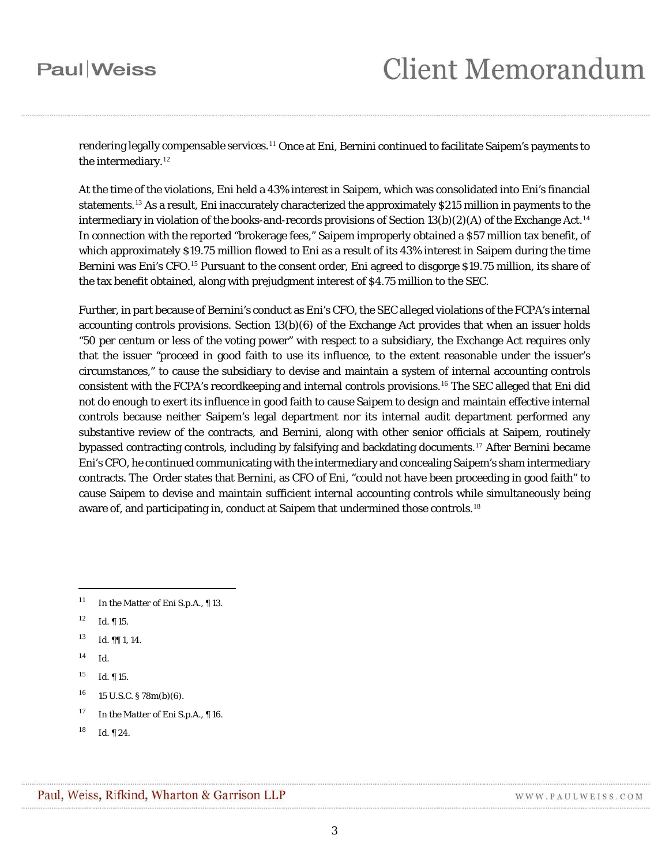rendering legally compensable services.<sup>[11](#page-2-0)</sup> Once at Eni, Bernini continued to facilitate Saipem's payments to the intermediary.<sup>[12](#page-2-1)</sup>

At the time of the violations, Eni held a 43% interest in Saipem, which was consolidated into Eni's financial statements.[13](#page-2-2) As a result, Eni inaccurately characterized the approximately \$215 million in payments to the intermediary in violation of the books-and-records provisions of Section 13(b)(2)(A) of the Exchange Act.  $^{14}$  $^{14}$  $^{14}$ In connection with the reported "brokerage fees," Saipem improperly obtained a \$57 million tax benefit, of which approximately \$19.75 million flowed to Eni as a result of its 43% interest in Saipem during the time Bernini was Eni's CFO.<sup>[15](#page-2-4)</sup> Pursuant to the consent order, Eni agreed to disgorge \$19.75 million, its share of the tax benefit obtained, along with prejudgment interest of \$4.75 million to the SEC.

Further, in part because of Bernini's conduct as Eni's CFO, the SEC alleged violations of the FCPA's internal accounting controls provisions. Section 13(b)(6) of the Exchange Act provides that when an issuer holds "50 per centum or less of the voting power" with respect to a subsidiary, the Exchange Act requires only that the issuer "proceed in good faith to use its influence, to the extent reasonable under the issuer's circumstances," to cause the subsidiary to devise and maintain a system of internal accounting controls consistent with the FCPA's recordkeeping and internal controls provisions. [16](#page-2-5) The SEC alleged that Eni did not do enough to exert its influence in good faith to cause Saipem to design and maintain effective internal controls because neither Saipem's legal department nor its internal audit department performed any substantive review of the contracts, and Bernini, along with other senior officials at Saipem, routinely bypassed contracting controls, including by falsifying and backdating documents. [17](#page-2-6) After Bernini became Eni's CFO, he continued communicating with the intermediary and concealing Saipem's sham intermediary contracts. The Order states that Bernini, as CFO of Eni, "could not have been proceeding in good faith" to cause Saipem to devise and maintain sufficient internal accounting controls while simultaneously being aware of, and participating in, conduct at Saipem that undermined those controls.<sup>[18](#page-2-7)</sup>

- <span id="page-2-1"></span> $12$  *Id.* 15.
- <span id="page-2-2"></span><sup>13</sup> *Id.* ¶¶ 1, 14.
- <span id="page-2-3"></span><sup>14</sup> *Id.*

<span id="page-2-0"></span><sup>11</sup> *In the Matter of Eni S.p.A.*, ¶ 13.

<span id="page-2-4"></span><sup>15</sup> *Id*. ¶ 15.

<span id="page-2-5"></span> $16$  15 U.S.C. § 78m(b)(6).

<span id="page-2-6"></span><sup>17</sup> *In the Matter of Eni S.p.A.*, ¶ 16.

<span id="page-2-7"></span><sup>18</sup> *Id.* ¶ 24.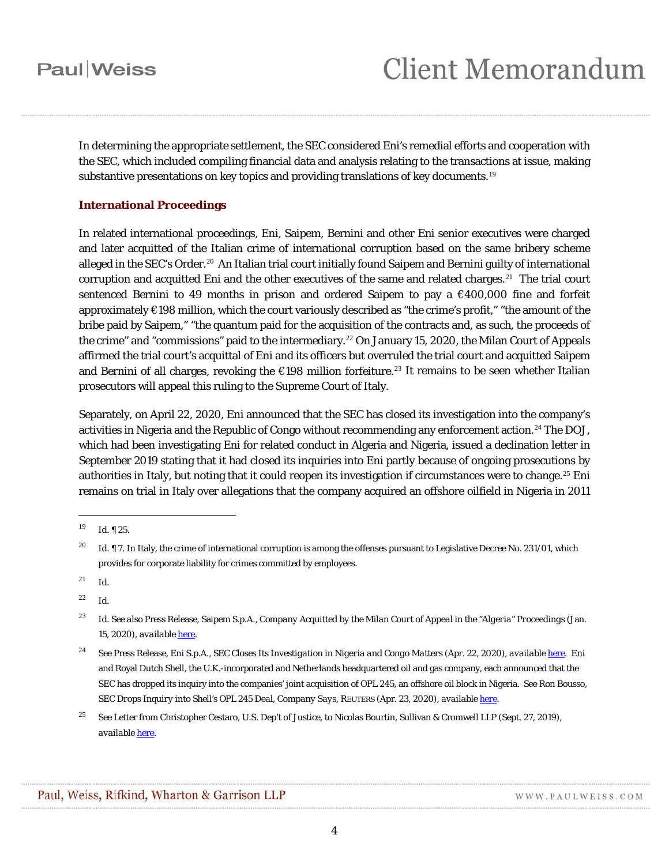In determining the appropriate settlement, the SEC considered Eni's remedial efforts and cooperation with the SEC, which included compiling financial data and analysis relating to the transactions at issue, making substantive presentations on key topics and providing translations of key documents.<sup>[19](#page-3-0)</sup>

#### **International Proceedings**

In related international proceedings, Eni, Saipem, Bernini and other Eni senior executives were charged and later acquitted of the Italian crime of international corruption based on the same bribery scheme alleged in the SEC's Order.<sup>[20](#page-3-1)</sup> An Italian trial court initially found Saipem and Bernini guilty of international corruption and acquitted Eni and the other executives of the same and related charges.<sup>[21](#page-3-2)</sup> The trial court sentenced Bernini to 49 months in prison and ordered Saipem to pay a €400,000 fine and forfeit approximately €198 million, which the court variously described as "the crime's profit," "the amount of the bribe paid by Saipem," "the quantum paid for the acquisition of the contracts and, as such, the proceeds of the crime" and "commissions" paid to the intermediary.<sup>[22](#page-3-3)</sup> On January 15, 2020, the Milan Court of Appeals affirmed the trial court's acquittal of Eni and its officers but overruled the trial court and acquitted Saipem and Bernini of all charges, revoking the  $\epsilon$ 198 million forfeiture.<sup>[23](#page-3-4)</sup> It remains to be seen whether Italian prosecutors will appeal this ruling to the Supreme Court of Italy.

Separately, on April 22, 2020, Eni announced that the SEC has closed its investigation into the company's activities in Nigeria and the Republic of Congo without recommending any enforcement action.<sup>[24](#page-3-5)</sup> The DOJ, which had been investigating Eni for related conduct in Algeria and Nigeria, issued a declination letter in September 2019 stating that it had closed its inquiries into Eni partly because of ongoing prosecutions by authorities in Italy, but noting that it could reopen its investigation if circumstances were to change.<sup>[25](#page-3-6)</sup> Eni remains on trial in Italy over allegations that the company acquired an offshore oilfield in Nigeria in 2011

<span id="page-3-0"></span><sup>19</sup> *Id.* ¶ 25.

<span id="page-3-1"></span><sup>&</sup>lt;sup>20</sup> *Id.* ¶ 7. In Italy, the crime of international corruption is among the offenses pursuant to Legislative Decree No. 231/01, which provides for corporate liability for crimes committed by employees.

<span id="page-3-2"></span><sup>21</sup> *Id*.

<span id="page-3-3"></span> $^{22}$  *Id.* 

<span id="page-3-4"></span><sup>23</sup> *Id. See also* Press Release, Saipem S.p.A., *Company Acquitted by the Milan Court of Appeal in the "Algeria" Proceedings* (Jan. 15, 2020), *available* [here.](https://www.saipem.com/en/media/press-releases/2020-01-15/saipem-company-acquitted-milan-court-appeal-algeria-proceedings)

<span id="page-3-5"></span><sup>24</sup> *See* Press Release, Eni S.p.A., *SEC Closes Its Investigation in Nigeria and Congo Matters* (Apr. 22, 2020), *available* [here.](https://www.eni.com/en-IT/media/press-release/2020/04/eni-sec-closes-its-investigation-in-nigeria-and-congo-matters.html) Eni and Royal Dutch Shell, the U.K.-incorporated and Netherlands headquartered oil and gas company, each announced that the SEC has dropped its inquiry into the companies' joint acquisition of OPL 245, an offshore oil block in Nigeria. *See* Ron Bousso, *SEC Drops Inquiry into Shell's OPL 245 Deal, Company Says*, REUTERS (Apr. 23, 2020), *available* [here.](https://www.reuters.com/article/us-shell-inquiry-opl245/sec-drops-inquiry-into-shells-opl-245-deal-company-says-idUSKCN2252V9#PWKey=PW2)

<span id="page-3-6"></span><sup>25</sup> *See* Letter from Christopher Cestaro, U.S. Dep't of Justice, to Nicolas Bourtin, Sullivan & Cromwell LLP (Sept. 27, 2019), *available* [here.](https://globalinvestigationsreview.com/digital_assets/0620ff71-1f8c-4aeb-82c9-b031f021828b/Eni-letter-9.27.2019.pdf)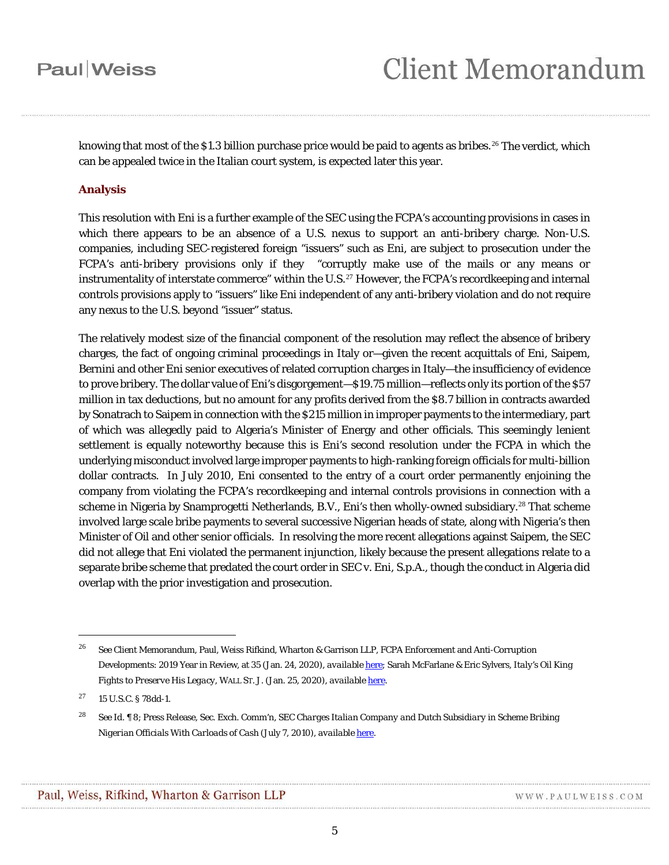knowing that most of the \$1.3 billion purchase price would be paid to agents as bribes.<sup>[26](#page-4-0)</sup> The verdict, which can be appealed twice in the Italian court system, is expected later this year.

#### **Analysis**

This resolution with Eni is a further example of the SEC using the FCPA's accounting provisions in cases in which there appears to be an absence of a U.S. nexus to support an anti-bribery charge. Non-U.S. companies, including SEC-registered foreign "issuers" such as Eni, are subject to prosecution under the FCPA's anti-bribery provisions only if they "corruptly make use of the mails or any means or instrumentality of interstate commerce" within the U.S.<sup>[27](#page-4-1)</sup> However, the FCPA's recordkeeping and internal controls provisions apply to "issuers" like Eni independent of any anti-bribery violation and do not require any nexus to the U.S. beyond "issuer" status.

The relatively modest size of the financial component of the resolution may reflect the absence of bribery charges, the fact of ongoing criminal proceedings in Italy or—given the recent acquittals of Eni, Saipem, Bernini and other Eni senior executives of related corruption charges in Italy—the insufficiency of evidence to prove bribery. The dollar value of Eni's disgorgement—\$19.75 million—reflects only its portion of the \$57 million in tax deductions, but no amount for any profits derived from the \$8.7 billion in contracts awarded by Sonatrach to Saipem in connection with the \$215 million in improper payments to the intermediary, part of which was allegedly paid to Algeria's Minister of Energy and other officials. This seemingly lenient settlement is equally noteworthy because this is Eni's second resolution under the FCPA in which the underlying misconduct involved large improper payments to high-ranking foreign officials for multi-billion dollar contracts. In July 2010, Eni consented to the entry of a court order permanently enjoining the company from violating the FCPA's recordkeeping and internal controls provisions in connection with a scheme in Nigeria by Snamprogetti Netherlands, B.V., Eni's then wholly-owned subsidiary. [28](#page-4-2) That scheme involved large scale bribe payments to several successive Nigerian heads of state, along with Nigeria's then Minister of Oil and other senior officials. In resolving the more recent allegations against Saipem, the SEC did not allege that Eni violated the permanent injunction, likely because the present allegations relate to a separate bribe scheme that predated the court order in *SEC* v. *Eni, S.p.A*., though the conduct in Algeria did overlap with the prior investigation and prosecution.

<span id="page-4-0"></span><sup>26</sup> *See* Client Memorandum, Paul, Weiss Rifkind, Wharton & Garrison LLP, FCPA Enforcement and Anti-Corruption Developments: 2019 Year in Review, at 35 (Jan. 24, 2020), *available* [here;](https://www.paulweiss.com/media/3979277/24jan20-fcpa-yir.pdf) Sarah McFarlane & Eric Sylvers, *Italy's Oil King Fights to Preserve His Legacy*, WALL ST. J. (Jan. 25, 2020), *available* [here.](https://www.wsj.com/articles/italys-oil-king-fights-to-preserve-his-legacy-11579957200)

<span id="page-4-1"></span> $27$  15 U.S.C. § 78dd-1.

<span id="page-4-2"></span><sup>28</sup> *See Id.* ¶ 8; Press Release, Sec. Exch. Comm'n, *SEC Charges Italian Company and Dutch Subsidiary in Scheme Bribing Nigerian Officials With Carloads of Cash* (July 7, 2010), *available* [here.](https://www.sec.gov/news/press/2010/2010-119.htm)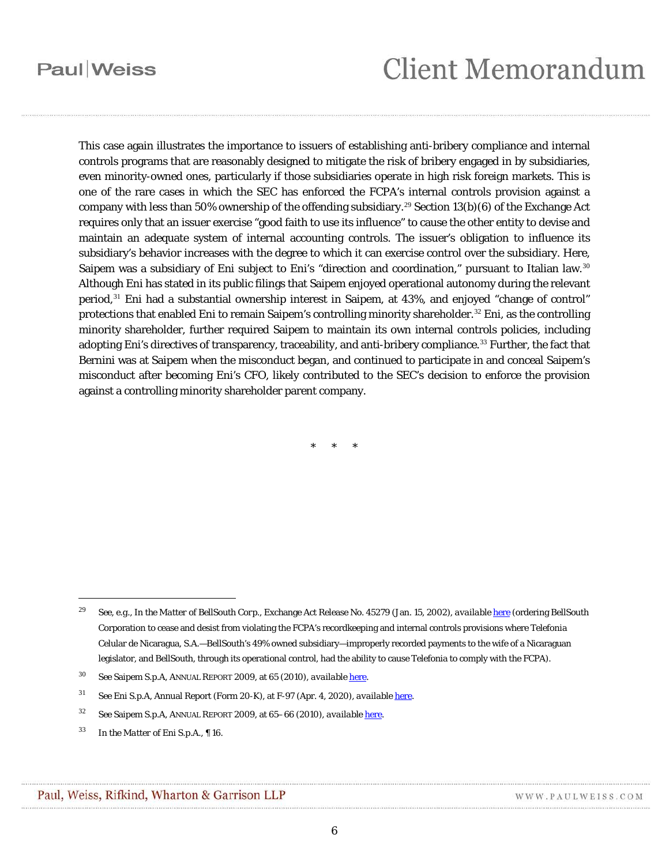# **Client Memorandum**

This case again illustrates the importance to issuers of establishing anti-bribery compliance and internal controls programs that are reasonably designed to mitigate the risk of bribery engaged in by subsidiaries, even minority-owned ones, particularly if those subsidiaries operate in high risk foreign markets. This is one of the rare cases in which the SEC has enforced the FCPA's internal controls provision against a company with less than 50% ownership of the offending subsidiary.<sup>[29](#page-5-0)</sup> Section 13(b)(6) of the Exchange Act requires only that an issuer exercise "good faith to use its influence" to cause the other entity to devise and maintain an adequate system of internal accounting controls. The issuer's obligation to influence its subsidiary's behavior increases with the degree to which it can exercise control over the subsidiary. Here, Saipem was a subsidiary of Eni subject to Eni's "direction and coordination," pursuant to Italian law.<sup>[30](#page-5-1)</sup> Although Eni has stated in its public filings that Saipem enjoyed operational autonomy during the relevant period,[31](#page-5-2) Eni had a substantial ownership interest in Saipem, at 43%, and enjoyed "change of control" protections that enabled Eni to remain Saipem's controlling minority shareholder.<sup>[32](#page-5-3)</sup> Eni, as the controlling minority shareholder, further required Saipem to maintain its own internal controls policies, including adopting Eni's directives of transparency, traceability, and anti-bribery compliance.[33](#page-5-4) Further, the fact that Bernini was at Saipem when the misconduct began, and continued to participate in and conceal Saipem's misconduct after becoming Eni's CFO, likely contributed to the SEC's decision to enforce the provision against a controlling minority shareholder parent company.

\* \* \*

<span id="page-5-0"></span><sup>29</sup> *See, e.g.*, *In the Matter of BellSouth Corp.*, Exchange Act Release No. 45279 (Jan. 15, 2002), *available* [here](https://www.sec.gov/litigation/admin/34-45279.htm) (ordering BellSouth Corporation to cease and desist from violating the FCPA's recordkeeping and internal controls provisions where Telefonia Celular de Nicaragua, S.A.—BellSouth's 49% owned subsidiary—improperly recorded payments to the wife of a Nicaraguan legislator, and BellSouth, through its operational control, had the ability to cause Telefonia to comply with the FCPA).

<sup>30</sup> *See* Saipem S.p.A, ANNUAL REPORT 2009, at 65 (2010), *available* [here.](https://www.saipem.com/sites/default/files/static/en/documents/1909BilSaipem09Ingfi.pdf)

<span id="page-5-2"></span><span id="page-5-1"></span><sup>31</sup> *See* Eni S.p.A, Annual Report (Form 20-K), at F-97 (Apr. 4, 2020), *available* [here.](https://www.sec.gov/Archives/edgar/data/1002242/000110465920042364/tm1923634-1_20f.htm)

<span id="page-5-3"></span><sup>32</sup> *See* Saipem S.p.A, ANNUAL REPORT 2009, at 65–66 (2010), *available* [here.](https://www.saipem.com/sites/default/files/static/en/documents/1909BilSaipem09Ingfi.pdf)

<span id="page-5-4"></span><sup>33</sup> *In the Matter of Eni S.p.A.*, ¶ 16.